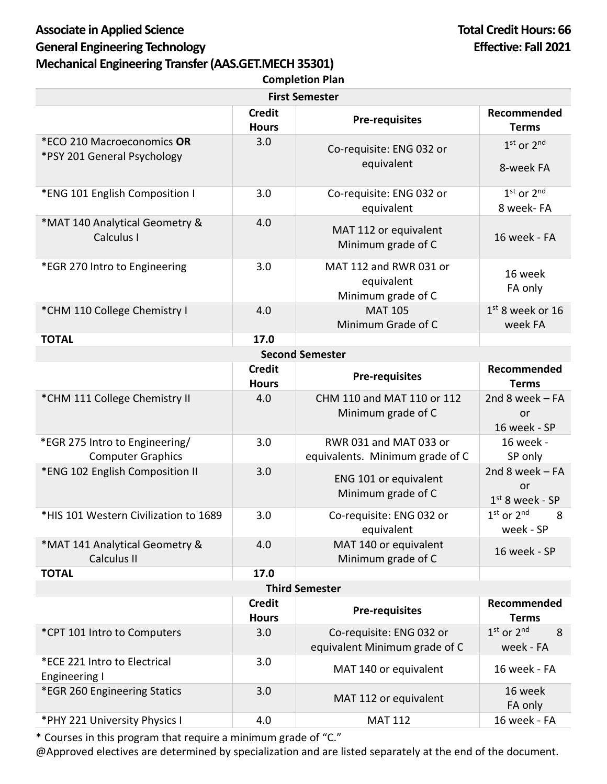## Associate in Applied Science **Total Credit Hours: 66 General Engineering Technology Effective: Fall 2021 Mechanical Engineering Transfer (AAS.GET.MECH35301) Completion Plan**

| <b>First Semester</b>                                      |                               |                                                            |                                             |  |
|------------------------------------------------------------|-------------------------------|------------------------------------------------------------|---------------------------------------------|--|
|                                                            | <b>Credit</b><br><b>Hours</b> | <b>Pre-requisites</b>                                      | Recommended<br><b>Terms</b>                 |  |
| *ECO 210 Macroeconomics OR<br>*PSY 201 General Psychology  | 3.0                           | Co-requisite: ENG 032 or                                   | $1st$ or $2nd$                              |  |
|                                                            |                               | equivalent                                                 | 8-week FA                                   |  |
| *ENG 101 English Composition I                             | 3.0                           | Co-requisite: ENG 032 or<br>equivalent                     | 1st or 2nd<br>8 week- FA                    |  |
| *MAT 140 Analytical Geometry &<br>Calculus I               | 4.0                           | MAT 112 or equivalent<br>Minimum grade of C                | 16 week - FA                                |  |
| *EGR 270 Intro to Engineering                              | 3.0                           | MAT 112 and RWR 031 or<br>equivalent<br>Minimum grade of C | 16 week<br>FA only                          |  |
| *CHM 110 College Chemistry I                               | 4.0                           | <b>MAT 105</b>                                             | $1st$ 8 week or 16                          |  |
|                                                            |                               | Minimum Grade of C                                         | week FA                                     |  |
| 17.0<br><b>TOTAL</b>                                       |                               |                                                            |                                             |  |
| <b>Second Semester</b><br>Recommended<br><b>Credit</b>     |                               |                                                            |                                             |  |
|                                                            | <b>Hours</b>                  | <b>Pre-requisites</b>                                      | <b>Terms</b>                                |  |
| *CHM 111 College Chemistry II                              | 4.0                           | CHM 110 and MAT 110 or 112<br>Minimum grade of C           | 2nd 8 week $-FA$<br>or<br>16 week - SP      |  |
| *EGR 275 Intro to Engineering/<br><b>Computer Graphics</b> | 3.0                           | RWR 031 and MAT 033 or<br>equivalents. Minimum grade of C  | 16 week -<br>SP only                        |  |
| *ENG 102 English Composition II                            | 3.0                           | ENG 101 or equivalent<br>Minimum grade of C                | 2nd 8 week $-FA$<br>or<br>$1st$ 8 week - SP |  |
| *HIS 101 Western Civilization to 1689                      | 3.0                           | Co-requisite: ENG 032 or<br>equivalent                     | $1st$ or $2nd$<br>8<br>week - SP            |  |
| *MAT 141 Analytical Geometry &<br>Calculus II              | 4.0                           | MAT 140 or equivalent<br>Minimum grade of C                | 16 week - SP                                |  |
| <b>TOTAL</b>                                               | 17.0                          |                                                            |                                             |  |
| <b>Third Semester</b>                                      |                               |                                                            |                                             |  |
|                                                            | <b>Credit</b><br><b>Hours</b> | <b>Pre-requisites</b>                                      | Recommended<br><b>Terms</b>                 |  |
| *CPT 101 Intro to Computers                                | 3.0                           | Co-requisite: ENG 032 or<br>equivalent Minimum grade of C  | $1st$ or $2nd$<br>8<br>week - FA            |  |
| *ECE 221 Intro to Electrical<br><b>Engineering I</b>       | 3.0                           | MAT 140 or equivalent                                      | 16 week - FA                                |  |
| *EGR 260 Engineering Statics                               | 3.0                           | MAT 112 or equivalent                                      | 16 week<br>FA only                          |  |
| *PHY 221 University Physics I                              | 4.0                           | <b>MAT 112</b>                                             | 16 week - FA                                |  |

\* Courses in this program that require a minimum grade of "C."

@Approved electives are determined by specialization and are listed separately at the end of the document.